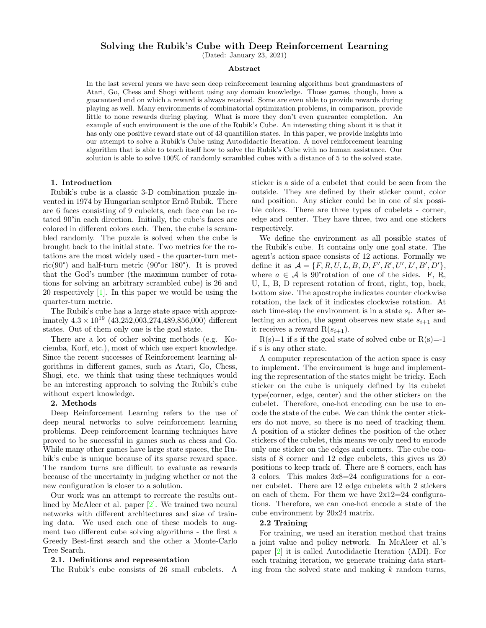# Solving the Rubik's Cube with Deep Reinforcement Learning

(Dated: January 23, 2021)

#### Abstract

In the last several years we have seen deep reinforcement learning algorithms beat grandmasters of Atari, Go, Chess and Shogi without using any domain knowledge. Those games, though, have a guaranteed end on which a reward is always received. Some are even able to provide rewards during playing as well. Many environments of combinatorial optimization problems, in comparison, provide little to none rewards during playing. What is more they don't even guarantee completion. An example of such environment is the one of the Rubik's Cube. An interesting thing about it is that it has only one positive reward state out of 43 quantiliion states. In this paper, we provide insights into our attempt to solve a Rubik's Cube using Autodidactic Iteration. A novel reinforcement learning algorithm that is able to teach itself how to solve the Rubik's Cube with no human assistance. Our solution is able to solve 100% of randomly scrambled cubes with a distance of 5 to the solved state.

### 1. Introduction

Rubik's cube is a classic 3-D combination puzzle invented in 1974 by Hungarian sculptor Ernő Rubik. There are 6 faces consisting of 9 cubelets, each face can be rotated 90°in each direction. Initially, the cube's faces are colored in different colors each. Then, the cube is scrambled randomly. The puzzle is solved when the cube is brought back to the initial state. Two metrics for the rotations are the most widely used - the quarter-turn metric(90°) and half-turn metric (90°or 180°). It is proved that the God's number (the maximum number of rotations for solving an arbitrary scrambled cube) is 26 and 20 respectively [\[1\]](#page-3-0). In this paper we would be using the quarter-turn metric.

The Rubik's cube has a large state space with approximately  $4.3 \times 10^{19}$  (43,252,003,274,489,856,000) different states. Out of them only one is the goal state.

There are a lot of other solving methods (e.g. Kociemba, Korf, etc.), most of which use expert knowledge. Since the recent successes of Reinforcement learning algorithms in different games, such as Atari, Go, Chess, Shogi, etc. we think that using these techniques would be an interesting approach to solving the Rubik's cube without expert knowledge.

#### 2. Methods

Deep Reinforcement Learning refers to the use of deep neural networks to solve reinforcement learning problems. Deep reinforcement learning techniques have proved to be successful in games such as chess and Go. While many other games have large state spaces, the Rubik's cube is unique because of its sparse reward space. The random turns are difficult to evaluate as rewards because of the uncertainty in judging whether or not the new configuration is closer to a solution.

Our work was an attempt to recreate the results outlined by McAleer et al. paper [\[2\]](#page-3-1). We trained two neural networks with different architectures and size of training data. We used each one of these models to augment two different cube solving algorithms - the first a Greedy Best-first search and the other a Monte-Carlo Tree Search.

#### 2.1. Definitions and representation

The Rubik's cube consists of 26 small cubelets. A

sticker is a side of a cubelet that could be seen from the outside. They are defined by their sticker count, color and position. Any sticker could be in one of six possible colors. There are three types of cubelets - corner, edge and center. They have three, two and one stickers respectively.

We define the environment as all possible states of the Rubik's cube. It contains only one goal state. The agent's action space consists of 12 actions. Formally we define it as  $A = \{F, R, U, L, B, D, F', R', U', L', B', D'\},\$ where  $a \in \mathcal{A}$  is 90° rotation of one of the sides. F, R, U, L, B, D represent rotation of front, right, top, back, bottom size. The apostrophe indicates counter clockwise rotation, the lack of it indicates clockwise rotation. At each time-step the environment is in a state  $s_i$ . After selecting an action, the agent observes new state  $s_{i+1}$  and it receives a reward  $R(s_{i+1})$ .

 $R(s)=1$  if s if the goal state of solved cube or  $R(s)=-1$ if s is any other state.

A computer representation of the action space is easy to implement. The environment is huge and implementing the representation of the states might be tricky. Each sticker on the cube is uniquely defined by its cubelet type(corner, edge, center) and the other stickers on the cubelet. Therefore, one-hot encoding can be use to encode the state of the cube. We can think the center stickers do not move, so there is no need of tracking them. A position of a sticker defines the position of the other stickers of the cubelet, this means we only need to encode only one sticker on the edges and corners. The cube consists of 8 corner and 12 edge cubelets, this gives us 20 positions to keep track of. There are 8 corners, each has 3 colors. This makes 3x8=24 configurations for a corner cubelet. There are 12 edge cubelets with 2 stickers on each of them. For them we have 2x12=24 configurations. Therefore, we can one-hot encode a state of the cube environment by 20x24 matrix.

# 2.2 Training

For training, we used an iteration method that trains a joint value and policy network. In McAleer et al.'s paper [\[2\]](#page-3-1) it is called Autodidactic Iteration (ADI). For each training iteration, we generate training data starting from the solved state and making  $k$  random turns,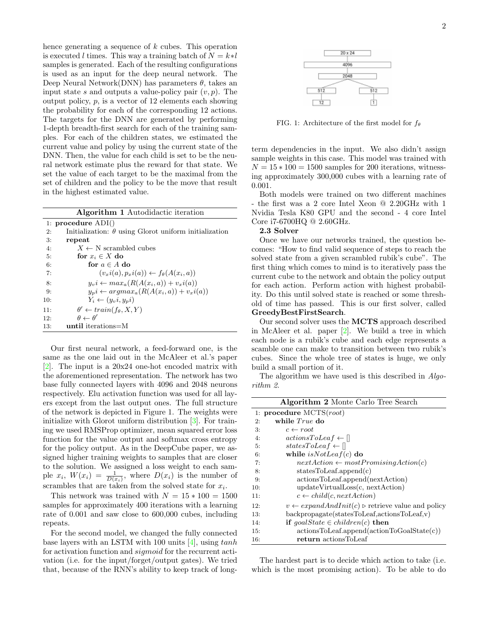hence generating a sequence of  $k$  cubes. This operation is executed l times. This way a training batch of  $N = k * l$ samples is generated. Each of the resulting configurations is used as an input for the deep neural network. The Deep Neural Network(DNN) has parameters  $\theta$ , takes an input state s and outputs a value-policy pair  $(v, p)$ . The output policy,  $p$ , is a vector of 12 elements each showing the probability for each of the corresponding 12 actions. The targets for the DNN are generated by performing 1-depth breadth-first search for each of the training samples. For each of the children states, we estimated the current value and policy by using the current state of the DNN. Then, the value for each child is set to be the neural network estimate plus the reward for that state. We set the value of each target to be the maximal from the set of children and the policy to be the move that result in the highest estimated value.

|     | <b>Algorithm 1</b> Autodidactic iteration                    |
|-----|--------------------------------------------------------------|
|     | 1: procedure $ADI()$                                         |
| 2:  | Initialization: $\theta$ using Glorot uniform initialization |
| 3:  | repeat                                                       |
| 4:  | $X \leftarrow N$ scrambled cubes                             |
| 5:  | for $x_i \in X$ do                                           |
| 6:  | for $a \in A$ do                                             |
| 7:  | $(v_x i(a), p_x i(a)) \leftarrow f_{\theta}(A(x_i, a))$      |
| 8:  | $y_{v}i \leftarrow max_a(R(A(x_i,a)) + v_xi(a))$             |
| 9:  | $y_p i \leftarrow argmax_a(R(A(x_i, a)) + v_x i(a))$         |
| 10: | $Y_i \leftarrow (y_n i, y_n i)$                              |
| 11: | $\theta' \leftarrow train(f_{\theta}, X, Y)$                 |
| 12: | $\theta \leftarrow \theta'$                                  |
| 13. | until iterations $=$ M                                       |

Our first neural network, a feed-forward one, is the same as the one laid out in the McAleer et al.'s paper [\[2\]](#page-3-1). The input is a 20x24 one-hot encoded matrix with the aforementioned representation. The network has two base fully connected layers with 4096 and 2048 neurons respectively. Elu activation function was used for all layers except from the last output ones. The full structure of the network is depicted in Figure 1. The weights were initialize with Glorot uniform distribution [\[3\]](#page-3-2). For training we used RMSProp optimizer, mean squared error loss function for the value output and softmax cross entropy for the policy output. As in the DeepCube paper, we assigned higher training weights to samples that are closer to the solution. We assigned a loss weight to each sample  $x_i$ ,  $W(x_i) = \frac{1}{D(x_i)}$ , where  $D(x_i)$  is the number of scrambles that are taken from the solved state for  $x_i$ .

This network was trained with  $N = 15 * 100 = 1500$ samples for approximately 400 iterations with a learning rate of 0.001 and saw close to 600,000 cubes, including repeats.

For the second model, we changed the fully connected base layers with an LSTM with 100 units  $[4]$ , using  $tanh$ for activation function and *sigmoid* for the recurrent activation (i.e. for the input/forget/output gates). We tried that, because of the RNN's ability to keep track of long-



FIG. 1: Architecture of the first model for  $f_{\theta}$ 

term dependencies in the input. We also didn't assign sample weights in this case. This model was trained with  $N = 15 * 100 = 1500$  samples for 200 iterations, witnessing approximately 300,000 cubes with a learning rate of 0.001.

Both models were trained on two different machines - the first was a 2 core Intel Xeon @ 2.20GHz with 1 Nvidia Tesla K80 GPU and the second - 4 core Intel Core i7-6700HQ @ 2.60GHz.

# 2.3 Solver

Once we have our networks trained, the question becomes: "How to find valid sequence of steps to reach the solved state from a given scrambled rubik's cube". The first thing which comes to mind is to iteratively pass the current cube to the network and obtain the policy output for each action. Perform action with highest probability. Do this until solved state is reached or some threshold of time has passed. This is our first solver, called GreedyBestFirstSearch.

Our second solver uses the MCTS approach described in McAleer et al. paper [\[2\]](#page-3-1). We build a tree in which each node is a rubik's cube and each edge represents a scamble one can make to transition between two rubik's cubes. Since the whole tree of states is huge, we only build a small portion of it.

The algorithm we have used is this described in Algorithm 2.

|     | <b>Algorithm 2</b> Monte Carlo Tree Search                               |
|-----|--------------------------------------------------------------------------|
|     | 1: procedure $MCTS(root)$                                                |
| 2:  | while $True$ do                                                          |
| 3:  | $c \leftarrow root$                                                      |
| 4:  | $actionsToLeaf \leftarrow []$                                            |
| 5:  | statesToLeaf $\leftarrow$ []                                             |
| 6:  | while $isNotLeaf(c)$ do                                                  |
| 7:  | $nextAction \leftarrow most PromisingAction(c)$                          |
| 8:  | statesToLeaf.append(c)                                                   |
| 9:  | actionsToLeaf.append(nextAction)                                         |
| 10: | updateVirtualLoss(c, nextAction)                                         |
| 11: | $c \leftarrow child(c, nextAction)$                                      |
| 12: | $v \leftarrow expandAndInit(c) \triangleright$ retrieve value and policy |
| 13: | $backpropagate(statesToLeaf, actionsToLeaf, v)$                          |
| 14: | if $goalState \in children(c)$ then                                      |
| 15: | $actionsToLeaf.append(actionToGoalState(c))$                             |
| 16: | return actionsToLeaf                                                     |

The hardest part is to decide which action to take (i.e. which is the most promising action). To be able to do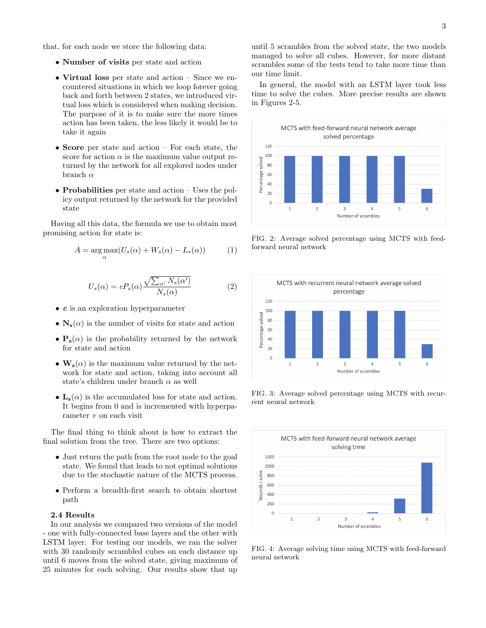that, for each node we store the following data:

- Number of visits per state and action
- Virtual loss per state and action Since we encountered situations in which we loop forever going back and forth between 2 states, we introduced virtual loss which is considered when making decision. The purpose of it is to make sure the more times action has been taken, the less likely it would be to take it again
- Score per state and action For each state, the score for action  $\alpha$  is the maximum value output returned by the network for all explored nodes under branch  $\alpha$
- Probabilities per state and action Uses the policy output returned by the network for the provided state

Having all this data, the formula we use to obtain most promising action for state is:

$$
A = \underset{\alpha}{\arg\max} (U_s(\alpha) + W_s(\alpha) - L_s(\alpha))
$$
 (1)

$$
U_s(\alpha) = cP_s(\alpha) \frac{\sqrt{\sum_{\alpha'} N_s(\alpha')}}{N_s(\alpha)}
$$
 (2)

- c is an exploration hyperparameter
- $N_s(\alpha)$  is the number of visits for state and action
- $P_s(\alpha)$  is the probability returned by the network for state and action
- $\mathbf{W}_s(\alpha)$  is the maximum value returned by the network for state and action, taking into account all state's children under branch  $\alpha$  as well
- $\mathbf{L}_{s}(\alpha)$  is the accumulated loss for state and action. It begins from 0 and is incremented with hyperparameter  $v$  on each visit

The final thing to think about is how to extract the final solution from the tree. There are two options:

- Just return the path from the root node to the goal state. We found that leads to not optimal solutions due to the stochastic nature of the MCTS process.
- Perform a breadth-first search to obtain shortest path

### 2.4 Results

In our analysis we compared two versions of the model - one with fully-connected base layers and the other with LSTM layer. For testing our models, we ran the solver with 30 randomly scrambled cubes on each distance up until 6 moves from the solved state, giving maximum of 25 minutes for each solving. Our results show that up

until 5 scrambles from the solved state, the two models managed to solve all cubes. However, for more distant scrambles some of the tests tend to take more time than our time limit.

In general, the model with an LSTM layer took less time to solve the cubes. More precise results are shown in Figures 2-5.



FIG. 2: Average solved percentage using MCTS with feedforward neural network



FIG. 3: Average solved percentage using MCTS with recurrent neural network



FIG. 4: Average solving time using MCTS with feed-forward neural network